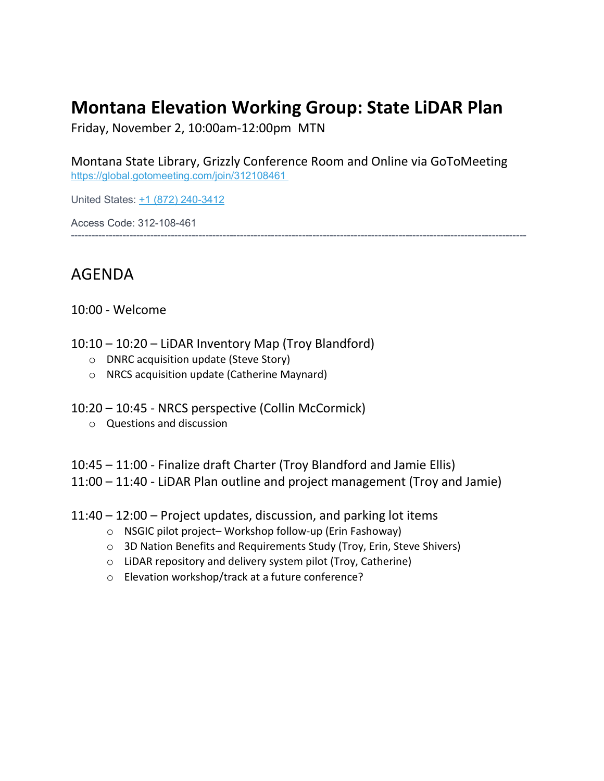### **Montana Elevation Working Group: State LiDAR Plan**

Friday, November 2, 10:00am-12:00pm MTN

Montana State Library, Grizzly Conference Room and Online via GoToMeeting <https://global.gotomeeting.com/join/312108461>

------------------------------------------------------------------------------------------------------------------------------------

United States: [+1 \(872\) 240-3412](tel:+18722403412,,312108461)

Access Code: 312-108-461

### AGENDA

10:00 - Welcome

- 10:10 10:20 LiDAR Inventory Map (Troy Blandford)
	- o DNRC acquisition update (Steve Story)
	- o NRCS acquisition update (Catherine Maynard)
- 10:20 10:45 NRCS perspective (Collin McCormick)
	- o Questions and discussion
- 10:45 11:00 Finalize draft Charter (Troy Blandford and Jamie Ellis)

11:00 – 11:40 - LiDAR Plan outline and project management (Troy and Jamie)

- 11:40 12:00 Project updates, discussion, and parking lot items
	- o NSGIC pilot project– Workshop follow-up (Erin Fashoway)
	- o 3D Nation Benefits and Requirements Study (Troy, Erin, Steve Shivers)
	- o LiDAR repository and delivery system pilot (Troy, Catherine)
	- o Elevation workshop/track at a future conference?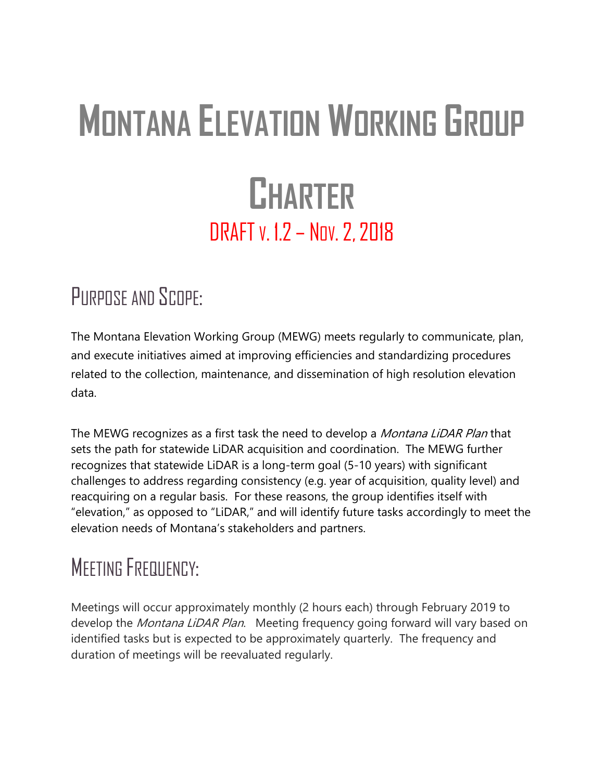# **MONTANA ELEVATION WORKING GROUP CHARTER** DRAFT v. 1.2 - Nov. 2, 2018

## PURPOSE AND SCOPE:

The Montana Elevation Working Group (MEWG) meets regularly to communicate, plan, and execute initiatives aimed at improving efficiencies and standardizing procedures related to the collection, maintenance, and dissemination of high resolution elevation data.

The MEWG recognizes as a first task the need to develop a *Montana LiDAR Plan* that sets the path for statewide LiDAR acquisition and coordination. The MEWG further recognizes that statewide LiDAR is a long-term goal (5-10 years) with significant challenges to address regarding consistency (e.g. year of acquisition, quality level) and reacquiring on a regular basis. For these reasons, the group identifies itself with "elevation," as opposed to "LiDAR," and will identify future tasks accordingly to meet the elevation needs of Montana's stakeholders and partners.

# **MEETING FREQUENCY:**

Meetings will occur approximately monthly (2 hours each) through February 2019 to develop the *Montana LiDAR Plan*. Meeting frequency going forward will vary based on identified tasks but is expected to be approximately quarterly. The frequency and duration of meetings will be reevaluated regularly.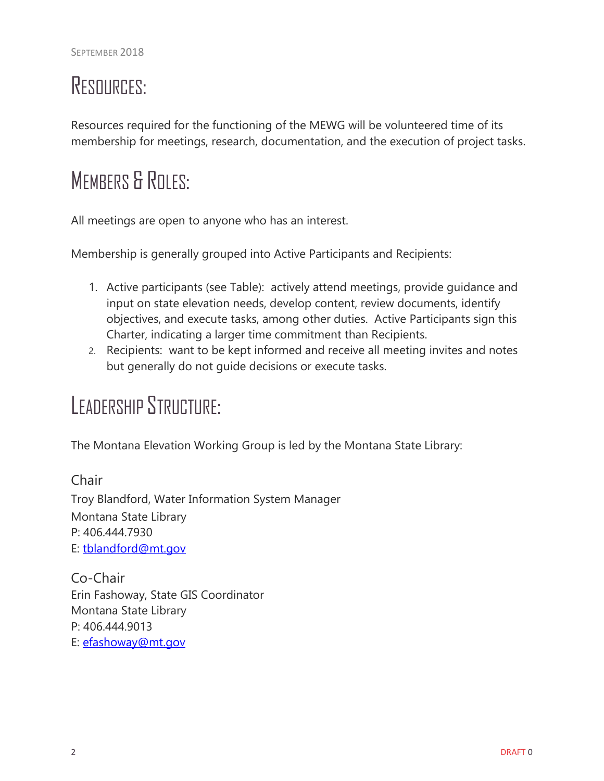# RESOURCES:

Resources required for the functioning of the MEWG will be volunteered time of its membership for meetings, research, documentation, and the execution of project tasks.

# MEMBERS & ROLES:

All meetings are open to anyone who has an interest.

Membership is generally grouped into Active Participants and Recipients:

- 1. Active participants (see Table): actively attend meetings, provide guidance and input on state elevation needs, develop content, review documents, identify objectives, and execute tasks, among other duties. Active Participants sign this Charter, indicating a larger time commitment than Recipients.
- 2. Recipients: want to be kept informed and receive all meeting invites and notes but generally do not guide decisions or execute tasks.

## LEADERSHIP STRUCTURE:

The Montana Elevation Working Group is led by the Montana State Library:

**Chair** Troy Blandford, Water Information System Manager Montana State Library P: 406.444.7930 E: [tblandford@mt.gov](mailto:tblandford@mt.gov)

Co-Chair Erin Fashoway, State GIS Coordinator Montana State Library P: 406.444.9013 E: [efashoway@mt.gov](mailto:efashoway@mt.gov)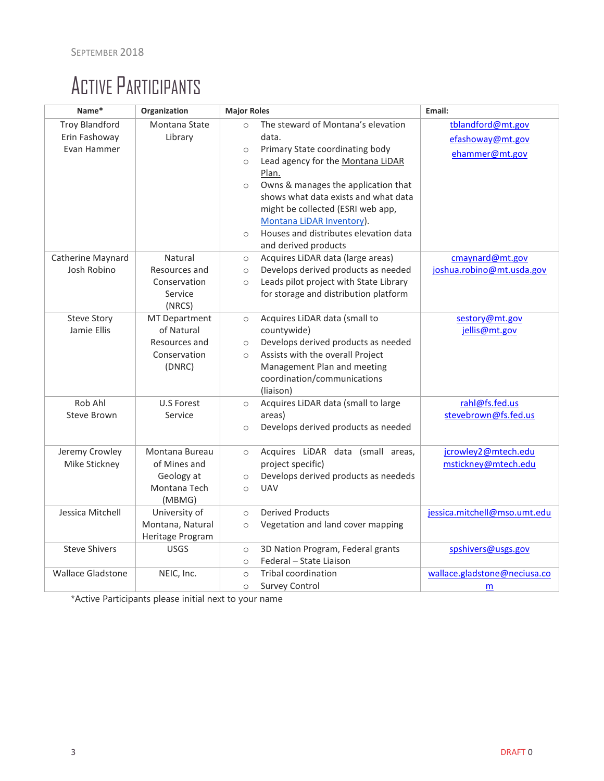# ACTIVE PARTICIPANTS

| Name*                                                 | Organization                                                                  | <b>Major Roles</b>                                                                                                                                                                                                                                                                                                                                                                                    | Email:                                                  |
|-------------------------------------------------------|-------------------------------------------------------------------------------|-------------------------------------------------------------------------------------------------------------------------------------------------------------------------------------------------------------------------------------------------------------------------------------------------------------------------------------------------------------------------------------------------------|---------------------------------------------------------|
| <b>Troy Blandford</b><br>Erin Fashoway<br>Evan Hammer | Montana State<br>Library                                                      | The steward of Montana's elevation<br>$\circ$<br>data.<br>Primary State coordinating body<br>$\circ$<br>Lead agency for the Montana LiDAR<br>$\circ$<br>Plan.<br>Owns & manages the application that<br>$\circ$<br>shows what data exists and what data<br>might be collected (ESRI web app,<br>Montana LiDAR Inventory).<br>Houses and distributes elevation data<br>$\circ$<br>and derived products | tblandford@mt.gov<br>efashoway@mt.gov<br>ehammer@mt.gov |
| Catherine Maynard<br>Josh Robino                      | Natural<br>Resources and<br>Conservation<br>Service<br>(NRCS)                 | Acquires LiDAR data (large areas)<br>$\circ$<br>Develops derived products as needed<br>$\circ$<br>Leads pilot project with State Library<br>$\circ$<br>for storage and distribution platform                                                                                                                                                                                                          | cmaynard@mt.gov<br>joshua.robino@mt.usda.gov            |
| <b>Steve Story</b><br>Jamie Ellis                     | <b>MT Department</b><br>of Natural<br>Resources and<br>Conservation<br>(DNRC) | Acquires LiDAR data (small to<br>$\circ$<br>countywide)<br>Develops derived products as needed<br>$\circ$<br>Assists with the overall Project<br>$\circ$<br>Management Plan and meeting<br>coordination/communications<br>(liaison)                                                                                                                                                                   | sestory@mt.gov<br>jellis@mt.gov                         |
| Rob Ahl<br>Steve Brown                                | U.S Forest<br>Service                                                         | Acquires LiDAR data (small to large<br>$\circ$<br>areas)<br>Develops derived products as needed<br>$\circ$                                                                                                                                                                                                                                                                                            | rahl@fs.fed.us<br>stevebrown@fs.fed.us                  |
| Jeremy Crowley<br>Mike Stickney                       | Montana Bureau<br>of Mines and<br>Geology at<br>Montana Tech<br>(MBMG)        | Acquires LiDAR data (small areas,<br>$\circ$<br>project specific)<br>Develops derived products as neededs<br>$\circ$<br><b>UAV</b><br>$\circ$                                                                                                                                                                                                                                                         | jcrowley2@mtech.edu<br>mstickney@mtech.edu              |
| Jessica Mitchell                                      | University of<br>Montana, Natural<br>Heritage Program                         | <b>Derived Products</b><br>$\circ$<br>Vegetation and land cover mapping<br>$\circ$                                                                                                                                                                                                                                                                                                                    | jessica.mitchell@mso.umt.edu                            |
| <b>Steve Shivers</b>                                  | <b>USGS</b>                                                                   | 3D Nation Program, Federal grants<br>$\circ$<br>Federal - State Liaison<br>$\circ$                                                                                                                                                                                                                                                                                                                    | spshivers@usgs.gov                                      |
| <b>Wallace Gladstone</b>                              | NEIC, Inc.                                                                    | Tribal coordination<br>$\circ$<br><b>Survey Control</b><br>$\circ$                                                                                                                                                                                                                                                                                                                                    | wallace.gladstone@neciusa.co<br>m                       |

\*Active Participants please initial next to your name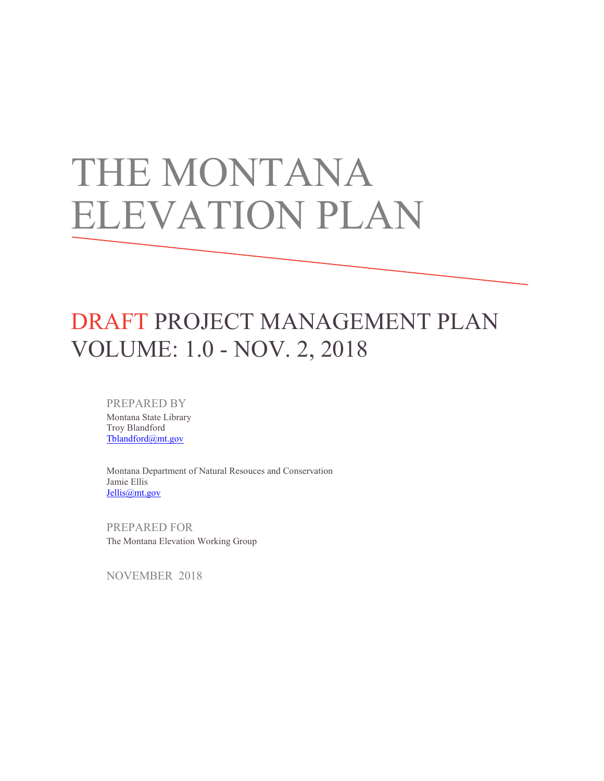# THE MONTANA ELEVATION PLAN

## DRAFT PROJECT MANAGEMENT PLAN VOLUME: 1.0 - NOV. 2, 2018

PREPARED BY Montana State Library Troy Blandford [Tblandford@mt.gov](mailto:Tblandford@mt.gov)

Montana Department of Natural Resouces and Conservation Jamie Ellis [Jellis@mt.gov](mailto:Jellis@mt.gov)

PREPARED FOR The Montana Elevation Working Group

NOVEMBER 2018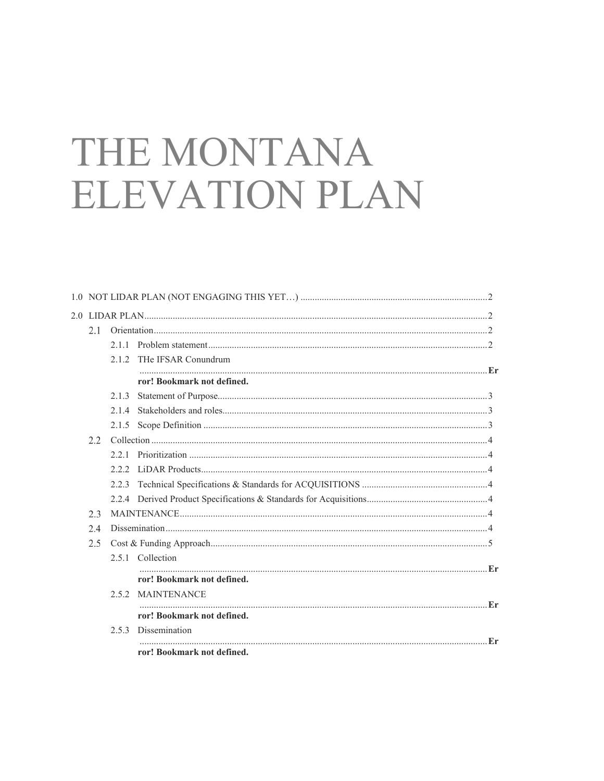# THE MONTANA **ELEVATION PLAN**

| 2.1 |       |                            |  |  |
|-----|-------|----------------------------|--|--|
|     |       |                            |  |  |
|     | 212   | THe IFSAR Conundrum        |  |  |
|     |       | ror! Bookmark not defined. |  |  |
|     | 2.1.3 |                            |  |  |
|     | 2.14  |                            |  |  |
|     |       |                            |  |  |
| 2.2 |       |                            |  |  |
|     |       |                            |  |  |
|     |       |                            |  |  |
|     | 2.2.3 |                            |  |  |
|     |       |                            |  |  |
| 2.3 |       |                            |  |  |
| 2.4 |       |                            |  |  |
| 2.5 |       |                            |  |  |
|     |       | 2.5.1 Collection           |  |  |
|     |       | ror! Bookmark not defined. |  |  |
|     |       | 2.5.2 MAINTENANCE          |  |  |
|     |       | ror! Bookmark not defined. |  |  |
|     |       | 2.5.3 Dissemination        |  |  |
|     |       | ror! Bookmark not defined. |  |  |
|     |       |                            |  |  |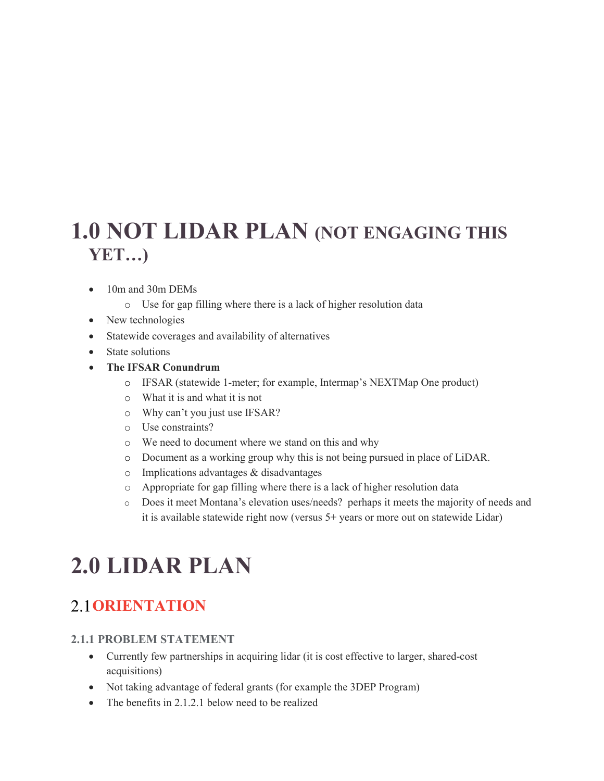### <span id="page-6-0"></span>**1.0 NOT LIDAR PLAN (NOT ENGAGING THIS YET…)**

- 10m and 30m DEMs
	- o Use for gap filling where there is a lack of higher resolution data
- New technologies
- Statewide coverages and availability of alternatives
- State solutions
- **The IFSAR Conundrum**
	- o IFSAR (statewide 1-meter; for example, Intermap's NEXTMap One product)
	- o What it is and what it is not
	- o Why can't you just use IFSAR?
	- o Use constraints?
	- o We need to document where we stand on this and why
	- o Document as a working group why this is not being pursued in place of LiDAR.
	- o Implications advantages & disadvantages
	- o Appropriate for gap filling where there is a lack of higher resolution data
	- o Does it meet Montana's elevation uses/needs? perhaps it meets the majority of needs and it is available statewide right now (versus 5+ years or more out on statewide Lidar)

# <span id="page-6-1"></span>**2.0 LIDAR PLAN**

### <span id="page-6-2"></span>**ORIENTATION**

#### <span id="page-6-3"></span>**2.1.1 PROBLEM STATEMENT**

- Currently few partnerships in acquiring lidar (it is cost effective to larger, shared-cost acquisitions)
- Not taking advantage of federal grants (for example the 3DEP Program)
- The benefits in 2.1.2.1 below need to be realized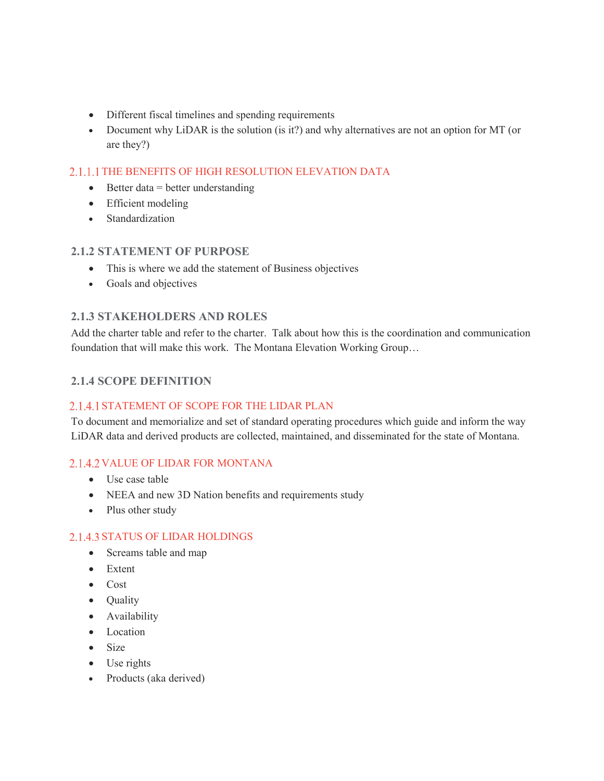- Different fiscal timelines and spending requirements
- Document why LiDAR is the solution (is it?) and why alternatives are not an option for MT (or are they?)

#### 2.1.1.1 THE BENEFITS OF HIGH RESOLUTION ELEVATION DATA

- Better data = better understanding
- Efficient modeling
- Standardization

#### <span id="page-7-0"></span>**2.1.2 STATEMENT OF PURPOSE**

- This is where we add the statement of Business objectives
- Goals and objectives

#### <span id="page-7-1"></span>**2.1.3 STAKEHOLDERS AND ROLES**

Add the charter table and refer to the charter. Talk about how this is the coordination and communication foundation that will make this work. The Montana Elevation Working Group…

#### <span id="page-7-2"></span>**2.1.4 SCOPE DEFINITION**

#### 2.1.4.1 STATEMENT OF SCOPE FOR THE LIDAR PLAN

To document and memorialize and set of standard operating procedures which guide and inform the way LiDAR data and derived products are collected, maintained, and disseminated for the state of Montana.

#### 2.1.4.2 VALUE OF LIDAR FOR MONTANA

- Use case table
- NEEA and new 3D Nation benefits and requirements study
- Plus other study

#### 2.1.4.3 STATUS OF LIDAR HOLDINGS

- Screams table and map
- Extent
- Cost
- Quality
- Availability
- Location
- Size
- Use rights
- Products (aka derived)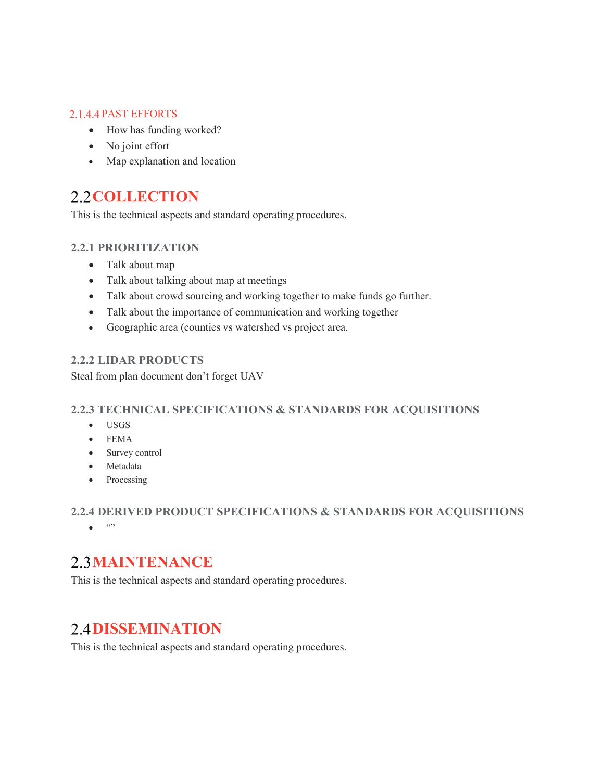#### 2.1.4.4 PAST EFFORTS

- How has funding worked?
- No joint effort
- Map explanation and location

### <span id="page-8-0"></span>2.2 **COLLECTION**

<span id="page-8-1"></span>This is the technical aspects and standard operating procedures.

#### **2.2.1 PRIORITIZATION**

- Talk about map
- Talk about talking about map at meetings
- Talk about crowd sourcing and working together to make funds go further.
- Talk about the importance of communication and working together
- Geographic area (counties vs watershed vs project area.

#### <span id="page-8-2"></span>**2.2.2 LIDAR PRODUCTS**

<span id="page-8-3"></span>Steal from plan document don't forget UAV

#### **2.2.3 TECHNICAL SPECIFICATIONS & STANDARDS FOR ACQUISITIONS**

- USGS
- FEMA
- Survey control
- Metadata
- Processing

#### <span id="page-8-4"></span>**2.2.4 DERIVED PRODUCT SPECIFICATIONS & STANDARDS FOR ACQUISITIONS**

• ""

### <span id="page-8-5"></span>**2.3 MAINTENANCE**

This is the technical aspects and standard operating procedures.

### <span id="page-8-6"></span>**2.4 DISSEMINATION**

This is the technical aspects and standard operating procedures.